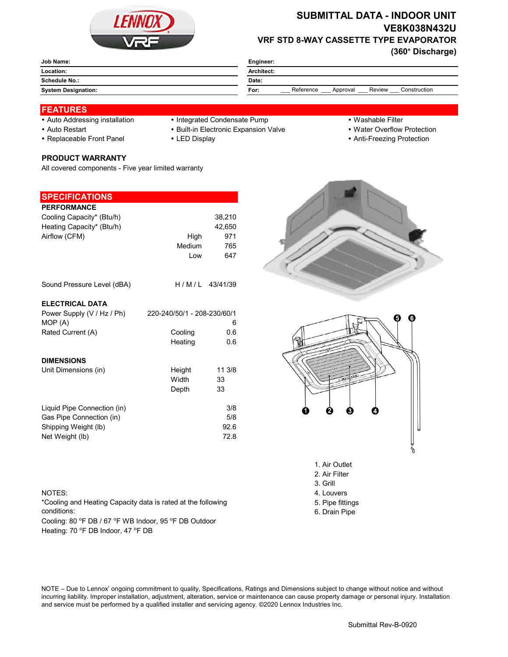

# **SUBMITTAL DATA - INDOOR UNIT VE8K038N432U VRF STD 8-WAY CASSETTE TYPE EVAPORATOR**

**(360° Discharge)**

| Job Name:                  | Engineer:                                               |  |  |
|----------------------------|---------------------------------------------------------|--|--|
| Location:                  | Architect:                                              |  |  |
| Schedule No.:              | Date:                                                   |  |  |
| <b>System Designation:</b> | Reference<br>Review<br>Construction<br>Approval<br>For: |  |  |
|                            |                                                         |  |  |

### **FEATURES**

- 
- Auto Addressing installation Integrated Condensate Pump Washable Filter
- 
- 

**PRODUCT WARRANTY**

- 
- Auto Restart **Built-in Electronic Expansion Valve Water Overflow Protection**
- Replaceable Front Panel LED Display Anti-Freezing Protection

| <b>SPECIFICATIONS</b>       |                             |                |
|-----------------------------|-----------------------------|----------------|
| <b>PERFORMANCE</b>          |                             |                |
| Cooling Capacity* (Btu/h)   |                             | 38,210         |
| Heating Capacity* (Btu/h)   |                             | 42,650         |
| Airflow (CFM)               | High                        | 971            |
|                             | Medium                      | 765            |
|                             | Low                         | 647            |
| Sound Pressure Level (dBA)  |                             | H/M/L 43/41/39 |
|                             |                             |                |
| <b>ELECTRICAL DATA</b>      |                             |                |
| Power Supply (V / Hz / Ph)  | 220-240/50/1 - 208-230/60/1 |                |
| MOP (A)                     |                             | 6              |
| Rated Current (A)           | Cooling                     | 0.6            |
|                             | Heating                     | 0.6            |
| <b>DIMENSIONS</b>           |                             |                |
| Unit Dimensions (in)        | Height                      | 11 3/8         |
|                             | Width                       | 33             |
|                             | Depth                       | 33             |
| Liquid Pipe Connection (in) |                             | 3/8            |
| Gas Pipe Connection (in)    |                             | 5/8            |

All covered components - Five year limited warranty





- 3. Grill
- NOTES: 4. Louvers
	- 5. Pipe fittings
	- 6. Drain Pipe

\*Cooling and Heating Capacity data is rated at the following conditions:

Shipping Weight (lb) 92.6 Net Weight (lb) 72.8

Cooling: 80 °F DB / 67 °F WB Indoor, 95 °F DB Outdoor Heating: 70 °F DB Indoor, 47 °F DB

NOTE – Due to Lennox' ongoing commitment to quality, Specifications, Ratings and Dimensions subject to change without notice and without incurring liability. Improper installation, adjustment, alteration, service or maintenance can cause property damage or personal injury. Installation and service must be performed by a qualified installer and servicing agency. ©2020 Lennox Industries Inc.